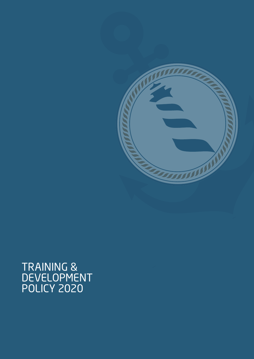

# TRAINING & DEVELOPMENT POLICY 2020